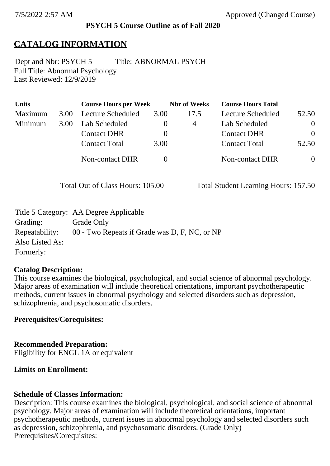### **PSYCH 5 Course Outline as of Fall 2020**

## **CATALOG INFORMATION**

Full Title: Abnormal Psychology Last Reviewed: 12/9/2019 Dept and Nbr: PSYCH 5 Title: ABNORMAL PSYCH

| <b>Units</b> |      | <b>Course Hours per Week</b> |          | <b>Nbr</b> of Weeks | <b>Course Hours Total</b> |          |
|--------------|------|------------------------------|----------|---------------------|---------------------------|----------|
| Maximum      | 3.00 | <b>Lecture Scheduled</b>     | 3.00     | 17.5                | Lecture Scheduled         | 52.50    |
| Minimum      | 3.00 | Lab Scheduled                | O        | 4                   | Lab Scheduled             | $\theta$ |
|              |      | <b>Contact DHR</b>           | $\theta$ |                     | <b>Contact DHR</b>        | $\Omega$ |
|              |      | <b>Contact Total</b>         | 3.00     |                     | <b>Contact Total</b>      | 52.50    |
|              |      | Non-contact DHR              |          |                     | <b>Non-contact DHR</b>    | $\theta$ |

Total Out of Class Hours: 105.00 Total Student Learning Hours: 157.50

|                 | Title 5 Category: AA Degree Applicable        |
|-----------------|-----------------------------------------------|
| Grading:        | Grade Only                                    |
| Repeatability:  | 00 - Two Repeats if Grade was D, F, NC, or NP |
| Also Listed As: |                                               |
| Formerly:       |                                               |

### **Catalog Description:**

This course examines the biological, psychological, and social science of abnormal psychology. Major areas of examination will include theoretical orientations, important psychotherapeutic methods, current issues in abnormal psychology and selected disorders such as depression, schizophrenia, and psychosomatic disorders.

**Prerequisites/Corequisites:**

**Recommended Preparation:** Eligibility for ENGL 1A or equivalent

### **Limits on Enrollment:**

### **Schedule of Classes Information:**

Description: This course examines the biological, psychological, and social science of abnormal psychology. Major areas of examination will include theoretical orientations, important psychotherapeutic methods, current issues in abnormal psychology and selected disorders such as depression, schizophrenia, and psychosomatic disorders. (Grade Only) Prerequisites/Corequisites: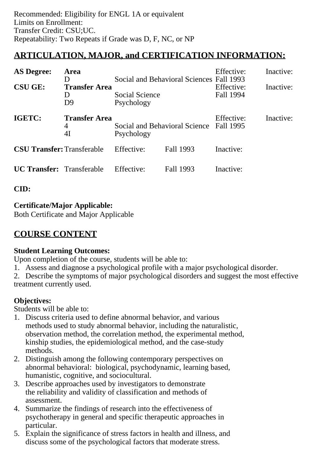# **ARTICULATION, MAJOR, and CERTIFICATION INFORMATION:**

| <b>AS Degree:</b><br><b>CSU GE:</b> | <b>Area</b><br>D<br><b>Transfer Area</b><br>I)<br>D9                                     | Social and Behavioral Sciences Fall 1993<br>Social Science<br>Psychology |           | Effective:<br>Effective:<br>Fall 1994 | Inactive:<br>Inactive: |
|-------------------------------------|------------------------------------------------------------------------------------------|--------------------------------------------------------------------------|-----------|---------------------------------------|------------------------|
| <b>IGETC:</b>                       | <b>Transfer Area</b><br>Social and Behavioral Science Fall 1995<br>4<br>4I<br>Psychology |                                                                          |           | Effective:                            | Inactive:              |
| <b>CSU Transfer: Transferable</b>   |                                                                                          | Effective:                                                               | Fall 1993 | Inactive:                             |                        |
| <b>UC Transfer:</b> Transferable    |                                                                                          | Effective:                                                               | Fall 1993 | Inactive:                             |                        |

**CID:**

## **Certificate/Major Applicable:**

[Both Certificate and Major Applicable](SR_ClassCheck.aspx?CourseKey=PSYCH5)

# **COURSE CONTENT**

## **Student Learning Outcomes:**

Upon completion of the course, students will be able to:

1. Assess and diagnose a psychological profile with a major psychological disorder.

2. Describe the symptoms of major psychological disorders and suggest the most effective treatment currently used.

## **Objectives:**

Students will be able to:

- 1. Discuss criteria used to define abnormal behavior, and various methods used to study abnormal behavior, including the naturalistic, observation method, the correlation method, the experimental method, kinship studies, the epidemiological method, and the case-study methods.
- 2. Distinguish among the following contemporary perspectives on abnormal behavioral: biological, psychodynamic, learning based, humanistic, cognitive, and sociocultural.
- 3. Describe approaches used by investigators to demonstrate the reliability and validity of classification and methods of assessment.
- 4. Summarize the findings of research into the effectiveness of psychotherapy in general and specific therapeutic approaches in particular.
- 5. Explain the significance of stress factors in health and illness, and discuss some of the psychological factors that moderate stress.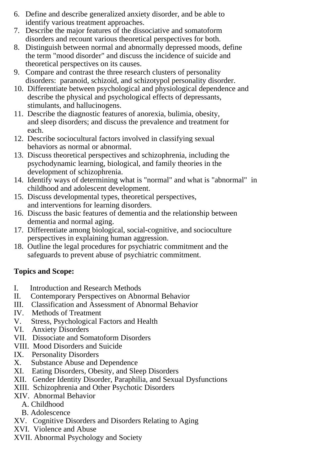- 6. Define and describe generalized anxiety disorder, and be able to identify various treatment approaches.
- 7. Describe the major features of the dissociative and somatoform disorders and recount various theoretical perspectives for both.
- 8. Distinguish between normal and abnormally depressed moods, define the term "mood disorder" and discuss the incidence of suicide and theoretical perspectives on its causes.
- 9. Compare and contrast the three research clusters of personality disorders: paranoid, schizoid, and schizotypol personality disorder.
- 10. Differentiate between psychological and physiological dependence and describe the physical and psychological effects of depressants, stimulants, and hallucinogens.
- 11. Describe the diagnostic features of anorexia, bulimia, obesity, and sleep disorders; and discuss the prevalence and treatment for each.
- 12. Describe sociocultural factors involved in classifying sexual behaviors as normal or abnormal.
- 13. Discuss theoretical perspectives and schizophrenia, including the psychodynamic learning, biological, and family theories in the development of schizophrenia.
- 14. Identify ways of determining what is "normal" and what is "abnormal" in childhood and adolescent development.
- 15. Discuss developmental types, theoretical perspectives, and interventions for learning disorders.
- 16. Discuss the basic features of dementia and the relationship between dementia and normal aging.
- 17. Differentiate among biological, social-cognitive, and socioculture perspectives in explaining human aggression.
- 18. Outline the legal procedures for psychiatric commitment and the safeguards to prevent abuse of psychiatric commitment.

## **Topics and Scope:**

- I. Introduction and Research Methods
- II. Contemporary Perspectives on Abnormal Behavior
- III. Classification and Assessment of Abnormal Behavior
- IV. Methods of Treatment
- V. Stress, Psychological Factors and Health
- VI. Anxiety Disorders
- VII. Dissociate and Somatoform Disorders
- VIII. Mood Disorders and Suicide
- IX. Personality Disorders<br>X. Substance Abuse and
- Substance Abuse and Dependence
- XI. Eating Disorders, Obesity, and Sleep Disorders
- XII. Gender Identity Disorder, Paraphilia, and Sexual Dysfunctions
- XIII. Schizophrenia and Other Psychotic Disorders
- XIV. Abnormal Behavior
	- A. Childhood
	- B. Adolescence
- XV. Cognitive Disorders and Disorders Relating to Aging
- XVI. Violence and Abuse
- XVII. Abnormal Psychology and Society